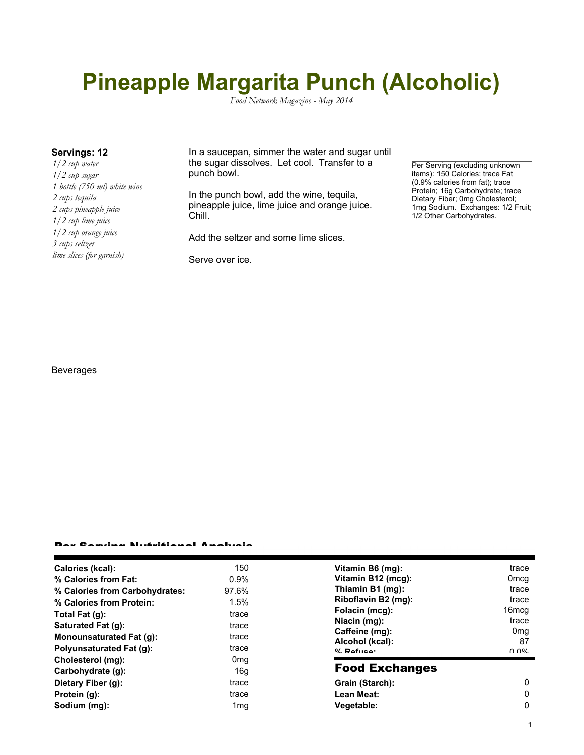# **Pineapple Margarita Punch (Alcoholic)**

*Food Network Magazine - May 2014*

*1/2 cup water 1/2 cup sugar 1 bottle (750 ml) white wine 2 cups tequila 2 cups pineapple juice 1/2 cup lime juice 1/2 cup orange juice 3 cups seltzer lime slices (for garnish)*

**Servings: 12** In a saucepan, simmer the water and sugar until the sugar dissolves. Let cool. Transfer to a punch bowl.

> In the punch bowl, add the wine, tequila, pineapple juice, lime juice and orange juice. Chill.

Add the seltzer and some lime slices.

Serve over ice.

Per Serving (excluding unknown items): 150 Calories; trace Fat (0.9% calories from fat); trace Protein; 16g Carbohydrate; trace Dietary Fiber; 0mg Cholesterol; 1mg Sodium. Exchanges: 1/2 Fruit; 1/2 Other Carbohydrates.

#### Beverages

#### Per Serving Nutritional Analysis

| Calories (kcal):               | 150             | Vitamin B6 (mg):                                  | trace                 |
|--------------------------------|-----------------|---------------------------------------------------|-----------------------|
| % Calories from Fat:           | 0.9%            | Vitamin B12 (mcg):                                | 0 <sub>mcq</sub>      |
| % Calories from Carbohydrates: | 97.6%           | Thiamin B1 (mg):                                  | trace                 |
| % Calories from Protein:       | 1.5%            | Riboflavin B2 (mg):                               | trace                 |
| Total Fat (q):                 | trace           | Folacin (mcg):                                    | 16 <sub>mcq</sub>     |
| Saturated Fat (g):             | trace           | Niacin (mg):<br>Caffeine (mg):<br>Alcohol (kcal): | trace                 |
| Monounsaturated Fat (q):       | trace           |                                                   | 0 <sub>mg</sub><br>87 |
| Polyunsaturated Fat (q):       | trace           | $0/2$ Pofileon                                    | በ በ%                  |
| Cholesterol (mg):              | 0 <sub>mq</sub> |                                                   |                       |
| Carbohydrate (q):              | 16g             | <b>Food Exchanges</b>                             |                       |
| Dietary Fiber (g):             | trace           | Grain (Starch):                                   | 0                     |
| Protein (g):                   | trace           | Lean Meat:                                        | 0                     |
| Sodium (mg):                   | 1 <sub>mg</sub> | Vegetable:                                        | 0                     |